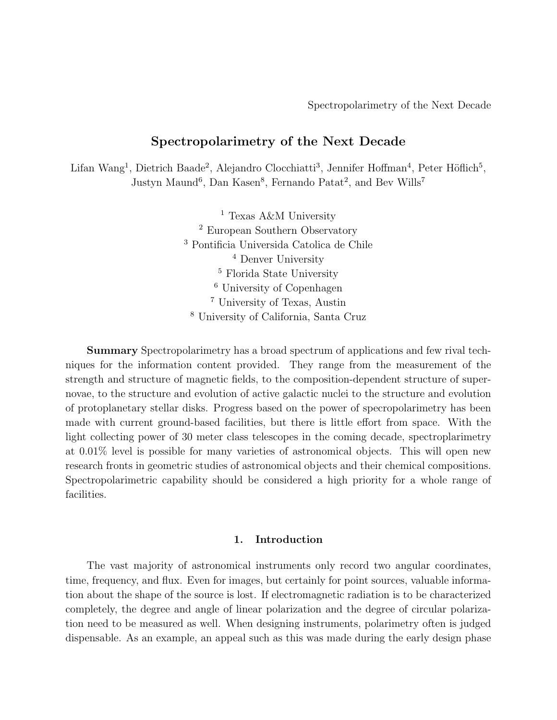# Spectropolarimetry of the Next Decade

Lifan Wang<sup>1</sup>, Dietrich Baade<sup>2</sup>, Alejandro Clocchiatti<sup>3</sup>, Jennifer Hoffman<sup>4</sup>, Peter Höflich<sup>5</sup>, Justyn Maund<sup>6</sup>, Dan Kasen<sup>8</sup>, Fernando Patat<sup>2</sup>, and Bev Wills<sup>7</sup>

> $^1$  Texas A&M University European Southern Observatory Pontificia Universida Catolica de Chile Denver University Florida State University University of Copenhagen University of Texas, Austin University of California, Santa Cruz

Summary Spectropolarimetry has a broad spectrum of applications and few rival techniques for the information content provided. They range from the measurement of the strength and structure of magnetic fields, to the composition-dependent structure of supernovae, to the structure and evolution of active galactic nuclei to the structure and evolution of protoplanetary stellar disks. Progress based on the power of specropolarimetry has been made with current ground-based facilities, but there is little effort from space. With the light collecting power of 30 meter class telescopes in the coming decade, spectroplarimetry at 0.01% level is possible for many varieties of astronomical objects. This will open new research fronts in geometric studies of astronomical objects and their chemical compositions. Spectropolarimetric capability should be considered a high priority for a whole range of facilities.

# 1. Introduction

The vast majority of astronomical instruments only record two angular coordinates, time, frequency, and flux. Even for images, but certainly for point sources, valuable information about the shape of the source is lost. If electromagnetic radiation is to be characterized completely, the degree and angle of linear polarization and the degree of circular polarization need to be measured as well. When designing instruments, polarimetry often is judged dispensable. As an example, an appeal such as this was made during the early design phase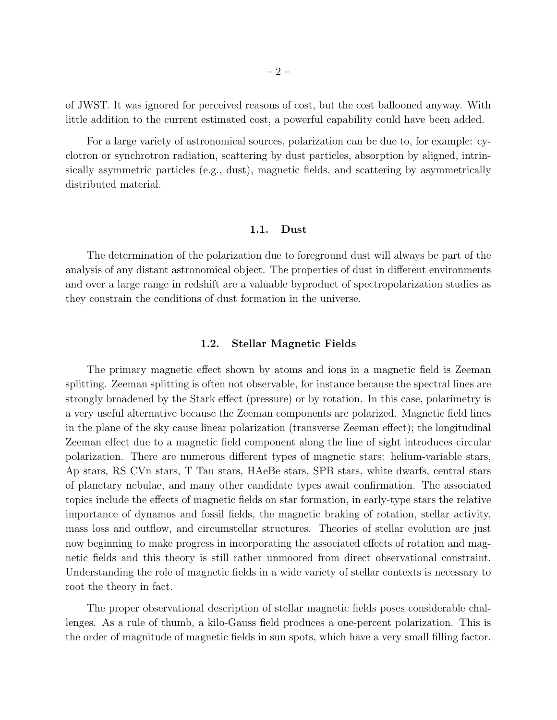of JWST. It was ignored for perceived reasons of cost, but the cost ballooned anyway. With little addition to the current estimated cost, a powerful capability could have been added.

For a large variety of astronomical sources, polarization can be due to, for example: cyclotron or synchrotron radiation, scattering by dust particles, absorption by aligned, intrinsically asymmetric particles (e.g., dust), magnetic fields, and scattering by asymmetrically distributed material.

#### 1.1. Dust

The determination of the polarization due to foreground dust will always be part of the analysis of any distant astronomical object. The properties of dust in different environments and over a large range in redshift are a valuable byproduct of spectropolarization studies as they constrain the conditions of dust formation in the universe.

#### 1.2. Stellar Magnetic Fields

The primary magnetic effect shown by atoms and ions in a magnetic field is Zeeman splitting. Zeeman splitting is often not observable, for instance because the spectral lines are strongly broadened by the Stark effect (pressure) or by rotation. In this case, polarimetry is a very useful alternative because the Zeeman components are polarized. Magnetic field lines in the plane of the sky cause linear polarization (transverse Zeeman effect); the longitudinal Zeeman effect due to a magnetic field component along the line of sight introduces circular polarization. There are numerous different types of magnetic stars: helium-variable stars, Ap stars, RS CVn stars, T Tau stars, HAeBe stars, SPB stars, white dwarfs, central stars of planetary nebulae, and many other candidate types await confirmation. The associated topics include the effects of magnetic fields on star formation, in early-type stars the relative importance of dynamos and fossil fields, the magnetic braking of rotation, stellar activity, mass loss and outflow, and circumstellar structures. Theories of stellar evolution are just now beginning to make progress in incorporating the associated effects of rotation and magnetic fields and this theory is still rather unmoored from direct observational constraint. Understanding the role of magnetic fields in a wide variety of stellar contexts is necessary to root the theory in fact.

The proper observational description of stellar magnetic fields poses considerable challenges. As a rule of thumb, a kilo-Gauss field produces a one-percent polarization. This is the order of magnitude of magnetic fields in sun spots, which have a very small filling factor.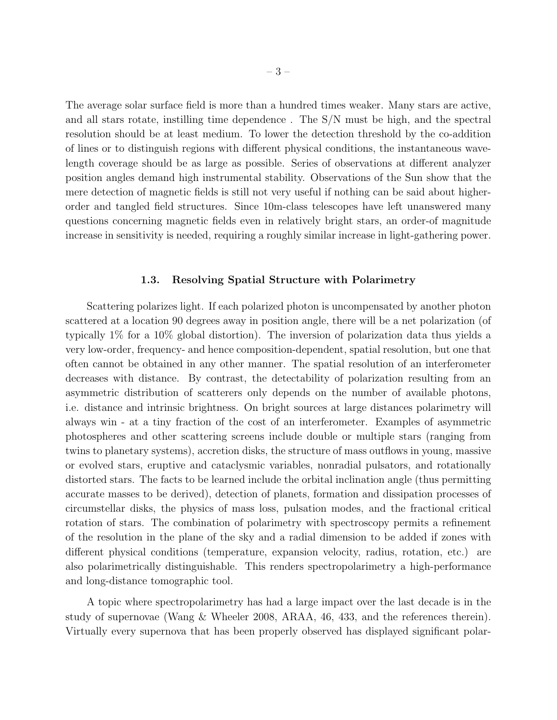The average solar surface field is more than a hundred times weaker. Many stars are active, and all stars rotate, instilling time dependence . The S/N must be high, and the spectral resolution should be at least medium. To lower the detection threshold by the co-addition of lines or to distinguish regions with different physical conditions, the instantaneous wavelength coverage should be as large as possible. Series of observations at different analyzer position angles demand high instrumental stability. Observations of the Sun show that the mere detection of magnetic fields is still not very useful if nothing can be said about higherorder and tangled field structures. Since 10m-class telescopes have left unanswered many questions concerning magnetic fields even in relatively bright stars, an order-of magnitude increase in sensitivity is needed, requiring a roughly similar increase in light-gathering power.

#### 1.3. Resolving Spatial Structure with Polarimetry

Scattering polarizes light. If each polarized photon is uncompensated by another photon scattered at a location 90 degrees away in position angle, there will be a net polarization (of typically 1% for a 10% global distortion). The inversion of polarization data thus yields a very low-order, frequency- and hence composition-dependent, spatial resolution, but one that often cannot be obtained in any other manner. The spatial resolution of an interferometer decreases with distance. By contrast, the detectability of polarization resulting from an asymmetric distribution of scatterers only depends on the number of available photons, i.e. distance and intrinsic brightness. On bright sources at large distances polarimetry will always win - at a tiny fraction of the cost of an interferometer. Examples of asymmetric photospheres and other scattering screens include double or multiple stars (ranging from twins to planetary systems), accretion disks, the structure of mass outflows in young, massive or evolved stars, eruptive and cataclysmic variables, nonradial pulsators, and rotationally distorted stars. The facts to be learned include the orbital inclination angle (thus permitting accurate masses to be derived), detection of planets, formation and dissipation processes of circumstellar disks, the physics of mass loss, pulsation modes, and the fractional critical rotation of stars. The combination of polarimetry with spectroscopy permits a refinement of the resolution in the plane of the sky and a radial dimension to be added if zones with different physical conditions (temperature, expansion velocity, radius, rotation, etc.) are also polarimetrically distinguishable. This renders spectropolarimetry a high-performance and long-distance tomographic tool.

A topic where spectropolarimetry has had a large impact over the last decade is in the study of supernovae (Wang & Wheeler 2008, ARAA, 46, 433, and the references therein). Virtually every supernova that has been properly observed has displayed significant polar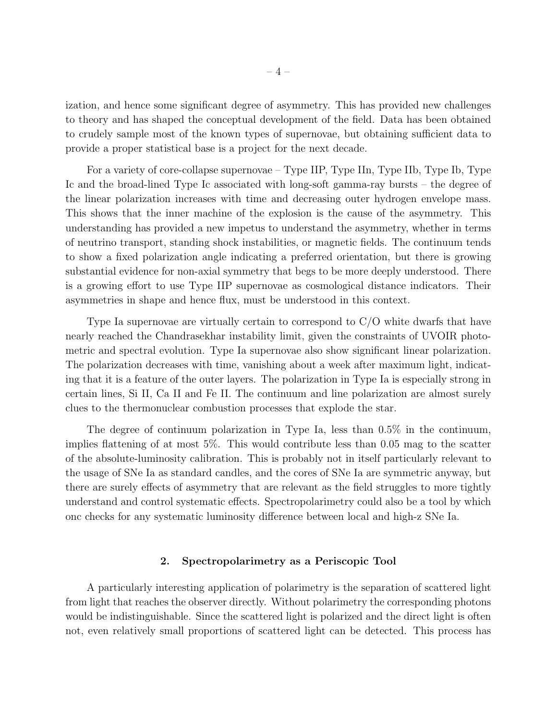ization, and hence some significant degree of asymmetry. This has provided new challenges to theory and has shaped the conceptual development of the field. Data has been obtained to crudely sample most of the known types of supernovae, but obtaining sufficient data to provide a proper statistical base is a project for the next decade.

For a variety of core-collapse supernovae – Type IIP, Type IIn, Type IIb, Type Ib, Type Ic and the broad-lined Type Ic associated with long-soft gamma-ray bursts – the degree of the linear polarization increases with time and decreasing outer hydrogen envelope mass. This shows that the inner machine of the explosion is the cause of the asymmetry. This understanding has provided a new impetus to understand the asymmetry, whether in terms of neutrino transport, standing shock instabilities, or magnetic fields. The continuum tends to show a fixed polarization angle indicating a preferred orientation, but there is growing substantial evidence for non-axial symmetry that begs to be more deeply understood. There is a growing effort to use Type IIP supernovae as cosmological distance indicators. Their asymmetries in shape and hence flux, must be understood in this context.

Type Ia supernovae are virtually certain to correspond to C/O white dwarfs that have nearly reached the Chandrasekhar instability limit, given the constraints of UVOIR photometric and spectral evolution. Type Ia supernovae also show significant linear polarization. The polarization decreases with time, vanishing about a week after maximum light, indicating that it is a feature of the outer layers. The polarization in Type Ia is especially strong in certain lines, Si II, Ca II and Fe II. The continuum and line polarization are almost surely clues to the thermonuclear combustion processes that explode the star.

The degree of continuum polarization in Type Ia, less than 0.5% in the continuum, implies flattening of at most 5%. This would contribute less than 0.05 mag to the scatter of the absolute-luminosity calibration. This is probably not in itself particularly relevant to the usage of SNe Ia as standard candles, and the cores of SNe Ia are symmetric anyway, but there are surely effects of asymmetry that are relevant as the field struggles to more tightly understand and control systematic effects. Spectropolarimetry could also be a tool by which onc checks for any systematic luminosity difference between local and high-z SNe Ia.

### 2. Spectropolarimetry as a Periscopic Tool

A particularly interesting application of polarimetry is the separation of scattered light from light that reaches the observer directly. Without polarimetry the corresponding photons would be indistinguishable. Since the scattered light is polarized and the direct light is often not, even relatively small proportions of scattered light can be detected. This process has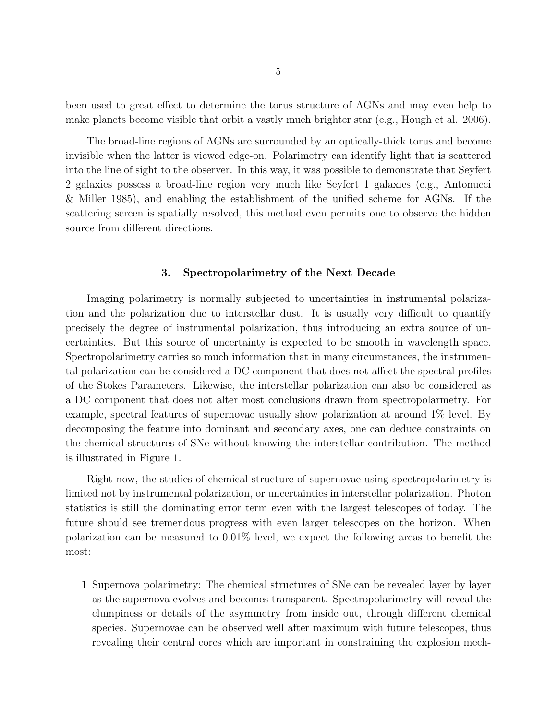been used to great effect to determine the torus structure of AGNs and may even help to make planets become visible that orbit a vastly much brighter star (e.g., Hough et al. 2006).

The broad-line regions of AGNs are surrounded by an optically-thick torus and become invisible when the latter is viewed edge-on. Polarimetry can identify light that is scattered into the line of sight to the observer. In this way, it was possible to demonstrate that Seyfert 2 galaxies possess a broad-line region very much like Seyfert 1 galaxies (e.g., Antonucci & Miller 1985), and enabling the establishment of the unified scheme for AGNs. If the scattering screen is spatially resolved, this method even permits one to observe the hidden source from different directions.

#### 3. Spectropolarimetry of the Next Decade

Imaging polarimetry is normally subjected to uncertainties in instrumental polarization and the polarization due to interstellar dust. It is usually very difficult to quantify precisely the degree of instrumental polarization, thus introducing an extra source of uncertainties. But this source of uncertainty is expected to be smooth in wavelength space. Spectropolarimetry carries so much information that in many circumstances, the instrumental polarization can be considered a DC component that does not affect the spectral profiles of the Stokes Parameters. Likewise, the interstellar polarization can also be considered as a DC component that does not alter most conclusions drawn from spectropolarmetry. For example, spectral features of supernovae usually show polarization at around 1% level. By decomposing the feature into dominant and secondary axes, one can deduce constraints on the chemical structures of SNe without knowing the interstellar contribution. The method is illustrated in Figure 1.

Right now, the studies of chemical structure of supernovae using spectropolarimetry is limited not by instrumental polarization, or uncertainties in interstellar polarization. Photon statistics is still the dominating error term even with the largest telescopes of today. The future should see tremendous progress with even larger telescopes on the horizon. When polarization can be measured to 0.01% level, we expect the following areas to benefit the most:

1 Supernova polarimetry: The chemical structures of SNe can be revealed layer by layer as the supernova evolves and becomes transparent. Spectropolarimetry will reveal the clumpiness or details of the asymmetry from inside out, through different chemical species. Supernovae can be observed well after maximum with future telescopes, thus revealing their central cores which are important in constraining the explosion mech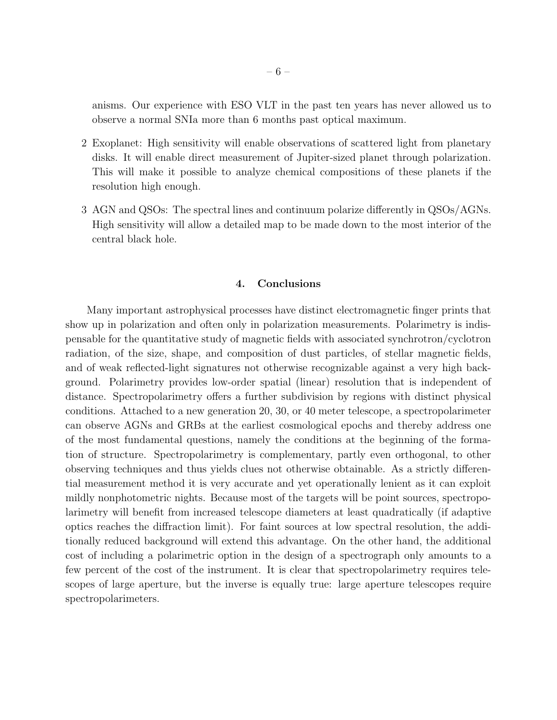anisms. Our experience with ESO VLT in the past ten years has never allowed us to observe a normal SNIa more than 6 months past optical maximum.

- 2 Exoplanet: High sensitivity will enable observations of scattered light from planetary disks. It will enable direct measurement of Jupiter-sized planet through polarization. This will make it possible to analyze chemical compositions of these planets if the resolution high enough.
- 3 AGN and QSOs: The spectral lines and continuum polarize differently in QSOs/AGNs. High sensitivity will allow a detailed map to be made down to the most interior of the central black hole.

## 4. Conclusions

Many important astrophysical processes have distinct electromagnetic finger prints that show up in polarization and often only in polarization measurements. Polarimetry is indispensable for the quantitative study of magnetic fields with associated synchrotron/cyclotron radiation, of the size, shape, and composition of dust particles, of stellar magnetic fields, and of weak reflected-light signatures not otherwise recognizable against a very high background. Polarimetry provides low-order spatial (linear) resolution that is independent of distance. Spectropolarimetry offers a further subdivision by regions with distinct physical conditions. Attached to a new generation 20, 30, or 40 meter telescope, a spectropolarimeter can observe AGNs and GRBs at the earliest cosmological epochs and thereby address one of the most fundamental questions, namely the conditions at the beginning of the formation of structure. Spectropolarimetry is complementary, partly even orthogonal, to other observing techniques and thus yields clues not otherwise obtainable. As a strictly differential measurement method it is very accurate and yet operationally lenient as it can exploit mildly nonphotometric nights. Because most of the targets will be point sources, spectropolarimetry will benefit from increased telescope diameters at least quadratically (if adaptive optics reaches the diffraction limit). For faint sources at low spectral resolution, the additionally reduced background will extend this advantage. On the other hand, the additional cost of including a polarimetric option in the design of a spectrograph only amounts to a few percent of the cost of the instrument. It is clear that spectropolarimetry requires telescopes of large aperture, but the inverse is equally true: large aperture telescopes require spectropolarimeters.